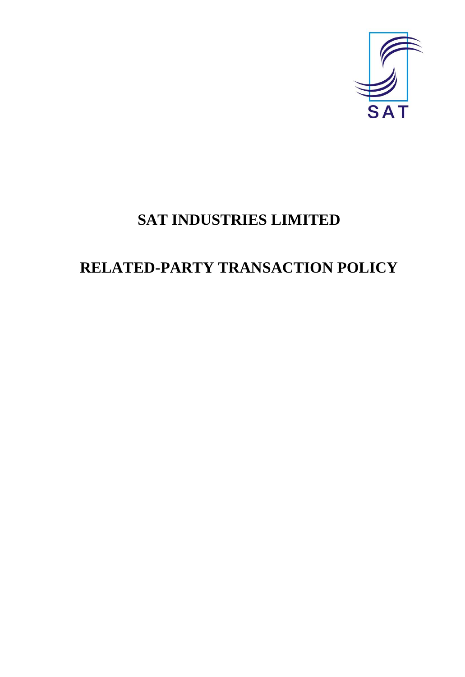

# **SAT INDUSTRIES LIMITED**

# **RELATED-PARTY TRANSACTION POLICY**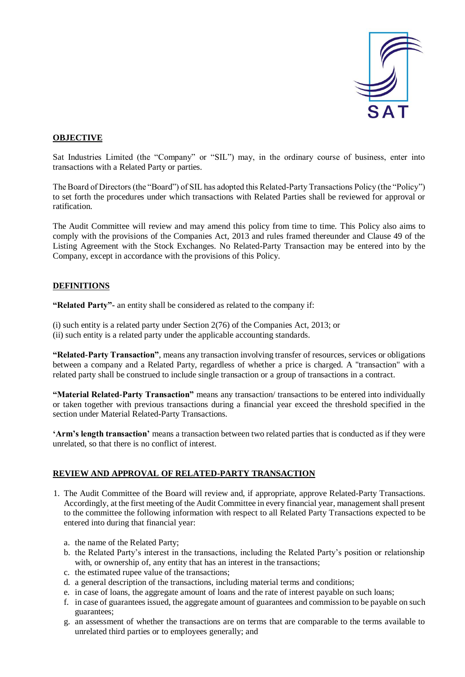

# **OBJECTIVE**

Sat Industries Limited (the "Company" or "SIL") may, in the ordinary course of business, enter into transactions with a Related Party or parties.

The Board of Directors (the "Board") of SIL has adopted this Related-Party Transactions Policy (the "Policy") to set forth the procedures under which transactions with Related Parties shall be reviewed for approval or ratification.

The Audit Committee will review and may amend this policy from time to time*.* This Policy also aims to comply with the provisions of the Companies Act, 2013 and rules framed thereunder and Clause 49 of the Listing Agreement with the Stock Exchanges. No Related-Party Transaction may be entered into by the Company, except in accordance with the provisions of this Policy.

# **DEFINITIONS**

**"Related Party"-** an entity shall be considered as related to the company if:

(i) such entity is a related party under Section 2(76) of the Companies Act, 2013; or (ii) such entity is a related party under the applicable accounting standards.

**"Related-Party Transaction"**, means any transaction involving transfer of resources, services or obligations between a company and a Related Party, regardless of whether a price is charged. A "transaction" with a related party shall be construed to include single transaction or a group of transactions in a contract.

**"Material Related-Party Transaction"** means any transaction/ transactions to be entered into individually or taken together with previous transactions during a financial year exceed the threshold specified in the section under Material Related-Party Transactions.

**'Arm's length transaction'** means a transaction between two related parties that is conducted as if they were unrelated, so that there is no conflict of interest.

#### **REVIEW AND APPROVAL OF RELATED-PARTY TRANSACTION**

- 1. The Audit Committee of the Board will review and, if appropriate, approve Related-Party Transactions. Accordingly, at the first meeting of the Audit Committee in every financial year, management shall present to the committee the following information with respect to all Related Party Transactions expected to be entered into during that financial year:
	- a. the name of the Related Party;
	- b. the Related Party's interest in the transactions, including the Related Party's position or relationship with, or ownership of, any entity that has an interest in the transactions;
	- c. the estimated rupee value of the transactions;
	- d. a general description of the transactions, including material terms and conditions;
	- e. in case of loans, the aggregate amount of loans and the rate of interest payable on such loans;
	- f. in case of guarantees issued, the aggregate amount of guarantees and commission to be payable on such guarantees;
	- g. an assessment of whether the transactions are on terms that are comparable to the terms available to unrelated third parties or to employees generally; and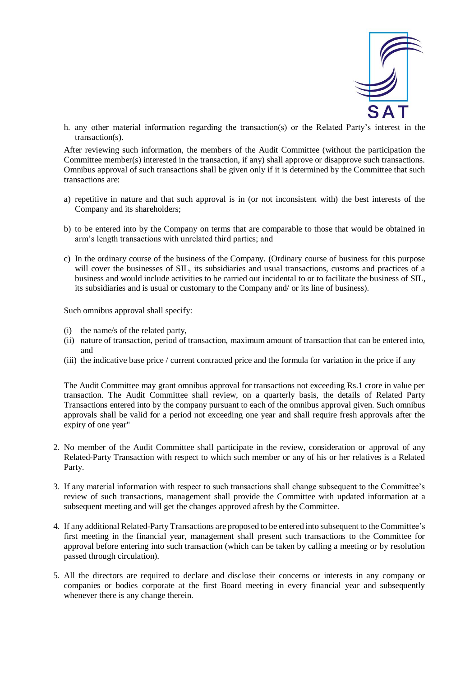

h. any other material information regarding the transaction(s) or the Related Party's interest in the transaction(s).

After reviewing such information, the members of the Audit Committee (without the participation the Committee member(s) interested in the transaction, if any) shall approve or disapprove such transactions. Omnibus approval of such transactions shall be given only if it is determined by the Committee that such transactions are:

- a) repetitive in nature and that such approval is in (or not inconsistent with) the best interests of the Company and its shareholders;
- b) to be entered into by the Company on terms that are comparable to those that would be obtained in arm's length transactions with unrelated third parties; and
- c) In the ordinary course of the business of the Company. (Ordinary course of business for this purpose will cover the businesses of SIL, its subsidiaries and usual transactions, customs and practices of a business and would include activities to be carried out incidental to or to facilitate the business of SIL, its subsidiaries and is usual or customary to the Company and/ or its line of business).

Such omnibus approval shall specify:

- (i) the name/s of the related party,
- (ii) nature of transaction, period of transaction, maximum amount of transaction that can be entered into, and
- (iii) the indicative base price / current contracted price and the formula for variation in the price if any

The Audit Committee may grant omnibus approval for transactions not exceeding Rs.1 crore in value per transaction. The Audit Committee shall review, on a quarterly basis, the details of Related Party Transactions entered into by the company pursuant to each of the omnibus approval given. Such omnibus approvals shall be valid for a period not exceeding one year and shall require fresh approvals after the expiry of one year"

- 2. No member of the Audit Committee shall participate in the review, consideration or approval of any Related-Party Transaction with respect to which such member or any of his or her relatives is a Related Party.
- 3. If any material information with respect to such transactions shall change subsequent to the Committee's review of such transactions, management shall provide the Committee with updated information at a subsequent meeting and will get the changes approved afresh by the Committee.
- 4. If any additional Related-Party Transactions are proposed to be entered into subsequent to the Committee's first meeting in the financial year, management shall present such transactions to the Committee for approval before entering into such transaction (which can be taken by calling a meeting or by resolution passed through circulation).
- 5. All the directors are required to declare and disclose their concerns or interests in any company or companies or bodies corporate at the first Board meeting in every financial year and subsequently whenever there is any change therein.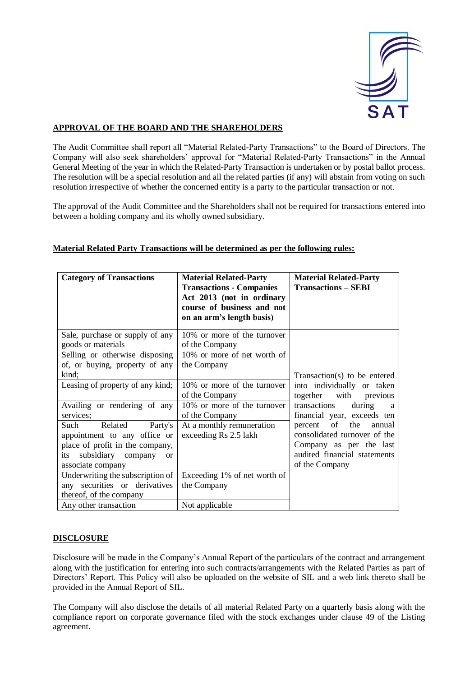

# **APPROVAL OF THE BOARD AND THE SHAREHOLDERS**

The Audit Committee shall report all "Material Related-Party Transactions" to the Board of Directors. The Company will also seek shareholders' approval for "Material Related-Party Transactions" in the Annual General Meeting of the year in which the Related-Party Transaction is undertaken or by postal ballot process. The resolution will be a special resolution and all the related parties (if any) will abstain from voting on such resolution irrespective of whether the concerned entity is a party to the particular transaction or not.

The approval of the Audit Committee and the Shareholders shall not be required for transactions entered into between a holding company and its wholly owned subsidiary.

| <b>Category of Transactions</b>                                                                                                                                  | <b>Material Related-Party</b><br><b>Transactions - Companies</b><br>Act 2013 (not in ordinary<br>course of business and not<br>on an arm's length basis) | <b>Material Related-Party</b><br><b>Transactions - SEBI</b>                                                                              |
|------------------------------------------------------------------------------------------------------------------------------------------------------------------|----------------------------------------------------------------------------------------------------------------------------------------------------------|------------------------------------------------------------------------------------------------------------------------------------------|
| Sale, purchase or supply of any<br>goods or materials                                                                                                            | 10% or more of the turnover<br>of the Company                                                                                                            |                                                                                                                                          |
| Selling or otherwise disposing<br>of, or buying, property of any<br>kind;                                                                                        | 10% or more of net worth of<br>the Company                                                                                                               | Transaction(s) to be entered                                                                                                             |
| Leasing of property of any kind;                                                                                                                                 | 10% or more of the turnover<br>of the Company                                                                                                            | into individually or taken<br>together with previous                                                                                     |
| Availing or rendering of any<br>services;                                                                                                                        | 10% or more of the turnover<br>of the Company                                                                                                            | transactions<br>during<br>a<br>financial year, exceeds ten                                                                               |
| Related<br>Such<br>Party's<br>appointment to any office or<br>place of profit in the company,<br>subsidiary company<br>its<br><sub>or</sub><br>associate company | At a monthly remuneration<br>exceeding Rs 2.5 lakh                                                                                                       | of the<br>percent<br>annual<br>consolidated turnover of the<br>Company as per the last<br>audited financial statements<br>of the Company |
| Underwriting the subscription of<br>any securities or derivatives<br>thereof, of the company                                                                     | Exceeding 1% of net worth of<br>the Company                                                                                                              |                                                                                                                                          |
| Any other transaction                                                                                                                                            | Not applicable                                                                                                                                           |                                                                                                                                          |

#### **Material Related Party Transactions will be determined as per the following rules:**

#### **DISCLOSURE**

Disclosure will be made in the Company's Annual Report of the particulars of the contract and arrangement along with the justification for entering into such contracts/arrangements with the Related Parties as part of Directors' Report. This Policy will also be uploaded on the website of SIL and a web link thereto shall be provided in the Annual Report of SIL.

The Company will also disclose the details of all material Related Party on a quarterly basis along with the compliance report on corporate governance filed with the stock exchanges under clause 49 of the Listing agreement.